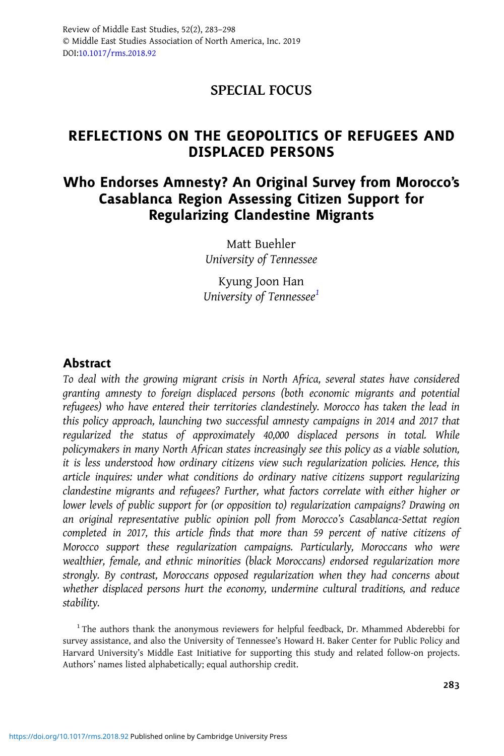Review of Middle East Studies, 52(2), 283–298 © Middle East Studies Association of North America, Inc. 2019 DOI[:10.1017/rms.2018.92](https://doi.org/10.1017/rms.2018.92)

## SPECIAL FOCUS

## REFLECTIONS ON THE GEOPOLITICS OF REFUGEES AND DISPLACED PERSONS

# Who Endorses Amnesty? An Original Survey from Morocco's Casablanca Region Assessing Citizen Support for Regularizing Clandestine Migrants

Matt Buehler University of Tennessee

Kyung Joon Han University of Tennessee<sup>1</sup>

#### Abstract

To deal with the growing migrant crisis in North Africa, several states have considered granting amnesty to foreign displaced persons (both economic migrants and potential refugees) who have entered their territories clandestinely. Morocco has taken the lead in this policy approach, launching two successful amnesty campaigns in 2014 and 2017 that regularized the status of approximately 40,000 displaced persons in total. While policymakers in many North African states increasingly see this policy as a viable solution, it is less understood how ordinary citizens view such regularization policies. Hence, this article inquires: under what conditions do ordinary native citizens support regularizing clandestine migrants and refugees? Further, what factors correlate with either higher or lower levels of public support for (or opposition to) regularization campaigns? Drawing on an original representative public opinion poll from Morocco's Casablanca-Settat region completed in 2017, this article finds that more than 59 percent of native citizens of Morocco support these regularization campaigns. Particularly, Moroccans who were wealthier, female, and ethnic minorities (black Moroccans) endorsed regularization more strongly. By contrast, Moroccans opposed regularization when they had concerns about whether displaced persons hurt the economy, undermine cultural traditions, and reduce stability.

<sup>1</sup> The authors thank the anonymous reviewers for helpful feedback, Dr. Mhammed Abderebbi for survey assistance, and also the University of Tennessee's Howard H. Baker Center for Public Policy and Harvard University's Middle East Initiative for supporting this study and related follow-on projects. Authors' names listed alphabetically; equal authorship credit.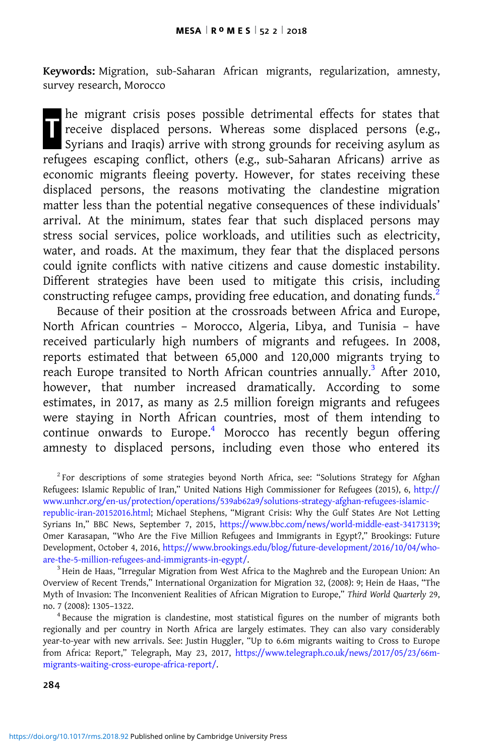Keywords: Migration, sub-Saharan African migrants, regularization, amnesty, survey research, Morocco

The migrant crisis poses possible detrimental effects for states that<br>receive displaced persons. Whereas some displaced persons (e.g.,<br>Syrians and Iraqis) arrive with strong grounds for receiving asylum as receive displaced persons. Whereas some displaced persons (e.g., Syrians and Iraqis) arrive with strong grounds for receiving asylum as refugees escaping conflict, others (e.g., sub-Saharan Africans) arrive as economic migrants fleeing poverty. However, for states receiving these displaced persons, the reasons motivating the clandestine migration matter less than the potential negative consequences of these individuals' arrival. At the minimum, states fear that such displaced persons may stress social services, police workloads, and utilities such as electricity, water, and roads. At the maximum, they fear that the displaced persons could ignite conflicts with native citizens and cause domestic instability. Different strategies have been used to mitigate this crisis, including constructing refugee camps, providing free education, and donating funds.<sup>2</sup>

Because of their position at the crossroads between Africa and Europe, North African countries – Morocco, Algeria, Libya, and Tunisia – have received particularly high numbers of migrants and refugees. In 2008, reports estimated that between 65,000 and 120,000 migrants trying to reach Europe transited to North African countries annually.<sup>3</sup> After 2010, however, that number increased dramatically. According to some estimates, in 2017, as many as 2.5 million foreign migrants and refugees were staying in North African countries, most of them intending to continue onwards to Europe. $4$  Morocco has recently begun offering amnesty to displaced persons, including even those who entered its

<sup>2</sup> For descriptions of some strategies beyond North Africa, see: "Solutions Strategy for Afghan Refugees: Islamic Republic of Iran," United Nations High Commissioner for Refugees (2015), 6, [http://](http://www.unhcr.org/en-us/protection/operations/539ab62a9/solutions-strategy-afghan-refugees-islamic-republic-iran-20152016.html) [www.unhcr.org/en-us/protection/operations/539ab62a9/solutions-strategy-afghan-refugees-islamic](http://www.unhcr.org/en-us/protection/operations/539ab62a9/solutions-strategy-afghan-refugees-islamic-republic-iran-20152016.html)[republic-iran-20152016.html](http://www.unhcr.org/en-us/protection/operations/539ab62a9/solutions-strategy-afghan-refugees-islamic-republic-iran-20152016.html); Michael Stephens, "Migrant Crisis: Why the Gulf States Are Not Letting Syrians In," BBC News, September 7, 2015, <https://www.bbc.com/news/world-middle-east-34173139>; Omer Karasapan, "Who Are the Five Million Refugees and Immigrants in Egypt?," Brookings: Future Development, October 4, 2016, [https://www.brookings.edu/blog/future-development/2016/10/04/who-](https://www.brookings.edu/blog/future-development/2016/10/04/who-are-the-5-million-refugees-and-immigrants-in-egypt/)

 $3$  Hein de Haas, "Irregular Migration from West Africa to the Maghreb and the European Union: An Overview of Recent Trends," International Organization for Migration 32, (2008): 9; Hein de Haas, "The Myth of Invasion: The Inconvenient Realities of African Migration to Europe," Third World Quarterly 29, no. 7 (2008): 1305–1322. <sup>4</sup> Because the migration is clandestine, most statistical figures on the number of migrants both

regionally and per country in North Africa are largely estimates. They can also vary considerably year-to-year with new arrivals. See: Justin Huggler, "Up to 6.6m migrants waiting to Cross to Europe from Africa: Report," Telegraph, May 23, 2017, [https://www.telegraph.co.uk/news/2017/05/23/66m](https://www.telegraph.co.uk/news/2017/05/23/66m-migrants-waiting-cross-europe-africa-report/)[migrants-waiting-cross-europe-africa-report/](https://www.telegraph.co.uk/news/2017/05/23/66m-migrants-waiting-cross-europe-africa-report/).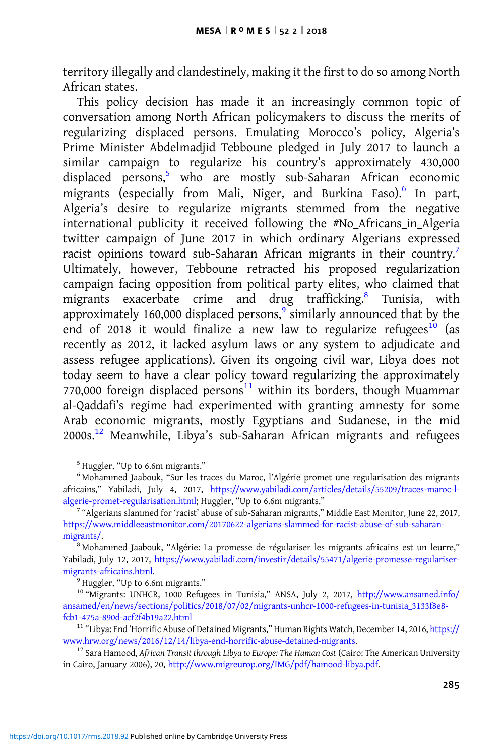territory illegally and clandestinely, making it the first to do so among North African states.

This policy decision has made it an increasingly common topic of conversation among North African policymakers to discuss the merits of regularizing displaced persons. Emulating Morocco's policy, Algeria's Prime Minister Abdelmadjid Tebboune pledged in July 2017 to launch a similar campaign to regularize his country's approximately 430,000 displaced persons,<sup>5</sup> who are mostly sub-Saharan African economic migrants (especially from Mali, Niger, and Burkina Faso).<sup>6</sup> In part, Algeria's desire to regularize migrants stemmed from the negative international publicity it received following the #No\_Africans\_in\_Algeria twitter campaign of June 2017 in which ordinary Algerians expressed racist opinions toward sub-Saharan African migrants in their country.<sup>7</sup> Ultimately, however, Tebboune retracted his proposed regularization campaign facing opposition from political party elites, who claimed that migrants exacerbate crime and drug trafficking.<sup>8</sup> Tunisia, with approximately 160,000 displaced persons,<sup>9</sup> similarly announced that by the end of 2018 it would finalize a new law to regularize refugees<sup>10</sup> (as recently as 2012, it lacked asylum laws or any system to adjudicate and assess refugee applications). Given its ongoing civil war, Libya does not today seem to have a clear policy toward regularizing the approximately 770,000 foreign displaced persons $11$  within its borders, though Muammar al-Qaddafi's regime had experimented with granting amnesty for some Arab economic migrants, mostly Egyptians and Sudanese, in the mid 2000s.<sup>12</sup> Meanwhile, Libya's sub-Saharan African migrants and refugees

 $^5$ Huggler, "Up to 6.6m migrants."<br> $^6$ Mohammed Jaabouk, "Sur les traces du Maroc, l'Algérie promet une regularisation des migrants africains," Yabiladi, July 4, 2017, [https://www.yabiladi.com/articles/details/55209/traces-maroc-l](https://www.yabiladi.com/articles/details/55209/traces-maroc-l-algerie-promet-regularisation.html)[algerie-promet-regularisation.html](https://www.yabiladi.com/articles/details/55209/traces-maroc-l-algerie-promet-regularisation.html); Huggler, "Up to 6.6m migrants."<br><sup>7</sup> "Algerians slammed for 'racist' abuse of sub-Saharan migrants," Middle East Monitor, June 22, 2017,

[https://www.middleeastmonitor.com/20170622-algerians-slammed-for-racist-abuse-of-sub-saharan-](https://www.middleeastmonitor.com/20170622-algerians-slammed-for-racist-abuse-of-sub-saharan-migrants/)

[migrants/.](https://www.middleeastmonitor.com/20170622-algerians-slammed-for-racist-abuse-of-sub-saharan-migrants/) <sup>8</sup> Mohammed Jaabouk, "Algérie: La promesse de régulariser les migrants africains est un leurre," Yabiladi, July 12, 2017, [https://www.yabiladi.com/investir/details/55471/algerie-promesse-regulariser-](https://www.yabiladi.com/investir/details/55471/algerie-promesse-regulariser-migrants-africains.html)

[migrants-africains.html.](https://www.yabiladi.com/investir/details/55471/algerie-promesse-regulariser-migrants-africains.html)<br><sup>9</sup> Huggler, "Up to 6.6m migrants."<br><sup>10</sup> "Migrants: UNHCR, 1000 Refugees in Tunisia," ANSA, July 2, 2017, [http://www.ansamed.info/](http://www.ansamed.info/ansamed/en/news/sections/politics/2018/07/02/migrants-unhcr-1000-refugees-in-tunisia_3133f8e8-fcb1-475a-890d-acf2f4b19a22.html) [ansamed/en/news/sections/politics/2018/07/02/migrants-unhcr-1000-refugees-in-tunisia\\_3133f8e8](http://www.ansamed.info/ansamed/en/news/sections/politics/2018/07/02/migrants-unhcr-1000-refugees-in-tunisia_3133f8e8-fcb1-475a-890d-acf2f4b19a22.html) [fcb1-475a-890d-acf2f4b19a22.html](http://www.ansamed.info/ansamed/en/news/sections/politics/2018/07/02/migrants-unhcr-1000-refugees-in-tunisia_3133f8e8-fcb1-475a-890d-acf2f4b19a22.html) <sup>11</sup> "Libya: End 'Horrific Abuse of Detained Migrants," Human Rights Watch, December 14, 2016, [https://](https://www.hrw.org/news/2016/12/14/libya-end-horrific-abuse-detained-migrants)

[www.hrw.org/news/2016/12/14/libya-end-horri](https://www.hrw.org/news/2016/12/14/libya-end-horrific-abuse-detained-migrants)fic-abuse-detained-migrants. <sup>12</sup> Sara Hamood, African Transit through Libya to Europe: The Human Cost (Cairo: The American University

in Cairo, January 2006), 20, [http://www.migreurop.org/IMG/pdf/hamood-libya.pdf.](http://www.migreurop.org/IMG/pdf/hamood-libya.pdf)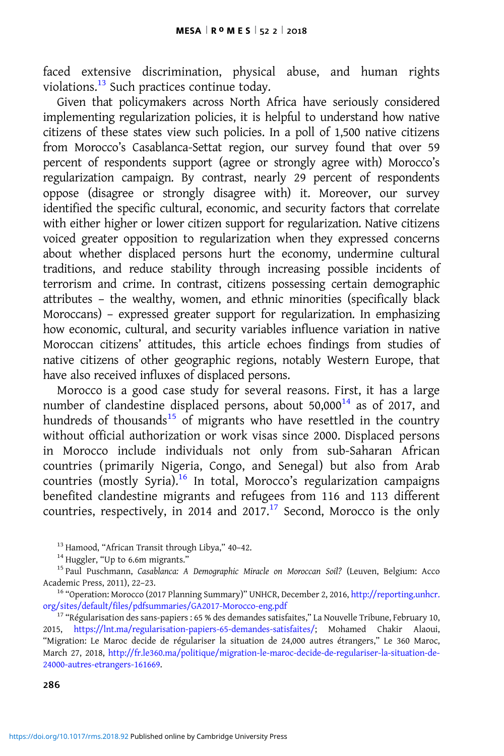faced extensive discrimination, physical abuse, and human rights violations.<sup>13</sup> Such practices continue today.

Given that policymakers across North Africa have seriously considered implementing regularization policies, it is helpful to understand how native citizens of these states view such policies. In a poll of 1,500 native citizens from Morocco's Casablanca-Settat region, our survey found that over 59 percent of respondents support (agree or strongly agree with) Morocco's regularization campaign. By contrast, nearly 29 percent of respondents oppose (disagree or strongly disagree with) it. Moreover, our survey identified the specific cultural, economic, and security factors that correlate with either higher or lower citizen support for regularization. Native citizens voiced greater opposition to regularization when they expressed concerns about whether displaced persons hurt the economy, undermine cultural traditions, and reduce stability through increasing possible incidents of terrorism and crime. In contrast, citizens possessing certain demographic attributes – the wealthy, women, and ethnic minorities (specifically black Moroccans) – expressed greater support for regularization. In emphasizing how economic, cultural, and security variables influence variation in native Moroccan citizens' attitudes, this article echoes findings from studies of native citizens of other geographic regions, notably Western Europe, that have also received influxes of displaced persons.

Morocco is a good case study for several reasons. First, it has a large number of clandestine displaced persons, about  $50,000^{14}$  as of 2017, and hundreds of thousands<sup>15</sup> of migrants who have resettled in the country without official authorization or work visas since 2000. Displaced persons in Morocco include individuals not only from sub-Saharan African countries (primarily Nigeria, Congo, and Senegal) but also from Arab countries (mostly Syria).<sup>16</sup> In total, Morocco's regularization campaigns benefited clandestine migrants and refugees from 116 and 113 different countries, respectively, in 2014 and 2017.<sup>17</sup> Second, Morocco is the only

<sup>&</sup>lt;sup>13</sup> Hamood, "African Transit through Libya," 40–42.<br><sup>14</sup> Huggler, "Up to 6.6m migrants."<br><sup>15</sup> Paul Puschmann, *Casablanca: A Demographic Miracle on Moroccan Soil?* (Leuven, Belgium: Acco Academic Press, 2011), 22–23. <sup>16</sup> "Operation: Morocco (2017 Planning Summary)" UNHCR, December 2, 2016, [http://reporting.unhcr.](http://reporting.unhcr.org/sites/default/files/pdfsummaries/GA2017-Morocco-eng.pdf)

org/sites/default/fi[les/pdfsummaries/GA2017-Morocco-eng.pdf](http://reporting.unhcr.org/sites/default/files/pdfsummaries/GA2017-Morocco-eng.pdf)<br><sup>17</sup> "Régularisation des sans-papiers : 65 % des demandes satisfaites," La Nouvelle Tribune, February 10,

<sup>2015,</sup> [https://lnt.ma/regularisation-papiers-65-demandes-satisfaites/;](https://lnt.ma/regularisation-papiers-65-demandes-satisfaites/) Mohamed Chakir Alaoui, "Migration: Le Maroc decide de régulariser la situation de 24,000 autres étrangers," Le 360 Maroc, March 27, 2018, [http://fr.le360.ma/politique/migration-le-maroc-decide-de-regulariser-la-situation-de-](http://fr.le360.ma/politique/migration-le-maroc-decide-de-regulariser-la-situation-de-24000-autres-etrangers-161669)[24000-autres-etrangers-161669](http://fr.le360.ma/politique/migration-le-maroc-decide-de-regulariser-la-situation-de-24000-autres-etrangers-161669).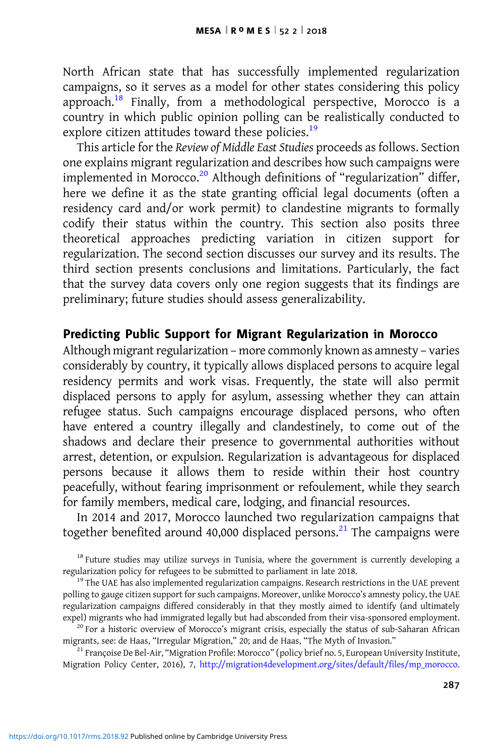North African state that has successfully implemented regularization campaigns, so it serves as a model for other states considering this policy approach.<sup>18</sup> Finally, from a methodological perspective, Morocco is a country in which public opinion polling can be realistically conducted to explore citizen attitudes toward these policies.<sup>19</sup>

This article for the Review of Middle East Studies proceeds as follows. Section one explains migrant regularization and describes how such campaigns were implemented in Morocco.<sup>20</sup> Although definitions of "regularization" differ, here we define it as the state granting official legal documents (often a residency card and/or work permit) to clandestine migrants to formally codify their status within the country. This section also posits three theoretical approaches predicting variation in citizen support for regularization. The second section discusses our survey and its results. The third section presents conclusions and limitations. Particularly, the fact that the survey data covers only one region suggests that its findings are preliminary; future studies should assess generalizability.

#### Predicting Public Support for Migrant Regularization in Morocco

Although migrant regularization – more commonly known as amnesty – varies considerably by country, it typically allows displaced persons to acquire legal residency permits and work visas. Frequently, the state will also permit displaced persons to apply for asylum, assessing whether they can attain refugee status. Such campaigns encourage displaced persons, who often have entered a country illegally and clandestinely, to come out of the shadows and declare their presence to governmental authorities without arrest, detention, or expulsion. Regularization is advantageous for displaced persons because it allows them to reside within their host country peacefully, without fearing imprisonment or refoulement, while they search for family members, medical care, lodging, and financial resources.

In 2014 and 2017, Morocco launched two regularization campaigns that together benefited around 40,000 displaced persons.<sup>21</sup> The campaigns were

Migration Policy Center, 2016), 7, [http://migration4development.org/sites/default/](http://migration4development.org/sites/default/files/mp_morocco.pdf)files/mp\_morocco.

<sup>&</sup>lt;sup>18</sup> Future studies may utilize surveys in Tunisia, where the government is currently developing a regularization policy for refugees to be submitted to parliament in late 2018. <sup>19</sup> The UAE has also implemented regularization campaigns. Research restrictions in the UAE prevent

polling to gauge citizen support for such campaigns. Moreover, unlike Morocco's amnesty policy, the UAE regularization campaigns differed considerably in that they mostly aimed to identify (and ultimately expel) migrants who had immigrated legally but had absconded from their visa-sponsored employment.<br><sup>20</sup> For a historic overview of Morocco's migrant crisis, especially the status of sub-Saharan African

migrants, see: de Haas, "Irregular Migration," 20; and de Haas, "The Myth of Invasion." <sup>21</sup> Françoise De Bel-Air, "Migration Profile: Morocco" (policy brief no. 5, European University Institute,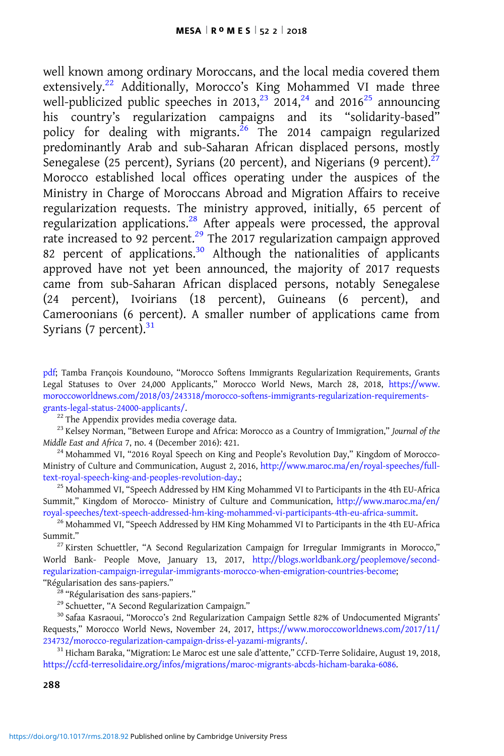well known among ordinary Moroccans, and the local media covered them extensively.<sup>22</sup> Additionally, Morocco's King Mohammed VI made three well-publicized public speeches in 2013,<sup>23</sup> 2014,<sup>24</sup> and 2016<sup>25</sup> announcing his country's regularization campaigns and its "solidarity-based" policy for dealing with migrants.<sup>26</sup> The 2014 campaign regularized predominantly Arab and sub-Saharan African displaced persons, mostly Senegalese (25 percent), Syrians (20 percent), and Nigerians (9 percent).<sup>27</sup> Morocco established local offices operating under the auspices of the Ministry in Charge of Moroccans Abroad and Migration Affairs to receive regularization requests. The ministry approved, initially, 65 percent of regularization applications.<sup>28</sup> After appeals were processed, the approval rate increased to 92 percent.<sup>29</sup> The 2017 regularization campaign approved 82 percent of applications.<sup>30</sup> Although the nationalities of applicants approved have not yet been announced, the majority of 2017 requests came from sub-Saharan African displaced persons, notably Senegalese (24 percent), Ivoirians (18 percent), Guineans (6 percent), and Cameroonians (6 percent). A smaller number of applications came from Syrians (7 percent). $31$ 

[pdf;](http://migration4development.org/sites/default/files/mp_morocco.pdf) Tamba François Koundouno, "Morocco Softens Immigrants Regularization Requirements, Grants Legal Statuses to Over 24,000 Applicants," Morocco World News, March 28, 2018, [https://www.](https://www.moroccoworldnews.com/2018/03/243318/morocco-softens-immigrants-regularization-requirements-grants-legal-status-24000-applicants/) [moroccoworldnews.com/2018/03/243318/morocco-softens-immigrants-regularization-requirements](https://www.moroccoworldnews.com/2018/03/243318/morocco-softens-immigrants-regularization-requirements-grants-legal-status-24000-applicants/)[grants-legal-status-24000-applicants/.](https://www.moroccoworldnews.com/2018/03/243318/morocco-softens-immigrants-regularization-requirements-grants-legal-status-24000-applicants/)<br><sup>22</sup> The Appendix provides media coverage data.<br><sup>23</sup> Kelsey Norman, "Between Europe and Africa: Morocco as a Country of Immigration," *Journal of the* 

Middle East and Africa 7, no. 4 (December 2016): 421.<br><sup>24</sup> Mohammed VI, "2016 Royal Speech on King and People's Revolution Day," Kingdom of Morocco-

Ministry of Culture and Communication, August 2, 2016, [http://www.maroc.ma/en/royal-speeches/full](http://www.maroc.ma/en/royal-speeches/full-text-royal-speech-king-and-peoples-revolution-day)[text-royal-speech-king-and-peoples-revolution-day.](http://www.maroc.ma/en/royal-speeches/full-text-royal-speech-king-and-peoples-revolution-day); <sup>25</sup> Mohammed VI, "Speech Addressed by HM King Mohammed VI to Participants in the 4th EU-Africa

Summit," Kingdom of Morocco- Ministry of Culture and Communication, [http://www.maroc.ma/en/](http://www.maroc.ma/en/royal-speeches/text-speech-addressed-hm-king-mohammed-vi-participants-4th-eu-africa-summit) [royal-speeches/text-speech-addressed-hm-king-mohammed-vi-participants-4th-eu-africa-summit](http://www.maroc.ma/en/royal-speeches/text-speech-addressed-hm-king-mohammed-vi-participants-4th-eu-africa-summit). <sup>26</sup> Mohammed VI, "Speech Addressed by HM King Mohammed VI to Participants in the 4th EU-Africa

Summit." <sup>27</sup> Kirsten Schuettler, "A Second Regularization Campaign for Irregular Immigrants in Morocco,"

World Bank- People Move, January 13, 2017, [http://blogs.worldbank.org/peoplemove/second](http://blogs.worldbank.org/peoplemove/second-regularization-campaign-irregular-immigrants-morocco-when-emigration-countries-become)[regularization-campaign-irregular-immigrants-morocco-when-emigration-countries-become;](http://blogs.worldbank.org/peoplemove/second-regularization-campaign-irregular-immigrants-morocco-when-emigration-countries-become)

"Régularisation des sans-papiers." <sup>28</sup> "Régularisation des sans-papiers." <sup>29</sup> Schuetter, "A Second Regularization Campaign." <sup>30</sup> Safaa Kasraoui, "Morocco's 2nd Regularization Campaign Settle 82% of Undocumented Migrants' Requests," Morocco World News, November 24, 2017, [https://www.moroccoworldnews.com/2017/11/](https://www.moroccoworldnews.com/2017/11/234732/morocco-regularization-campaign-driss-el-yazami-migrants/) [234732/morocco-regularization-campaign-driss-el-yazami-migrants/.](https://www.moroccoworldnews.com/2017/11/234732/morocco-regularization-campaign-driss-el-yazami-migrants/) <sup>31</sup> Hicham Baraka, "Migration: Le Maroc est une sale d'attente," CCFD-Terre Solidaire, August 19, 2018,

<https://ccfd-terresolidaire.org/infos/migrations/maroc-migrants-abcds-hicham-baraka-6086>.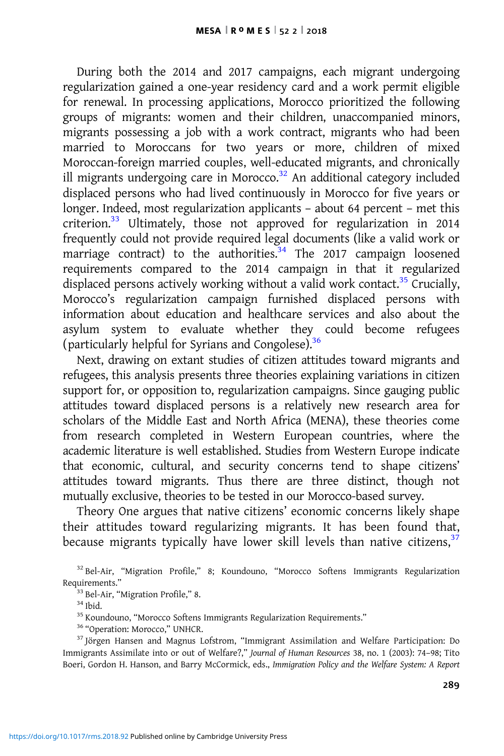During both the 2014 and 2017 campaigns, each migrant undergoing regularization gained a one-year residency card and a work permit eligible for renewal. In processing applications, Morocco prioritized the following groups of migrants: women and their children, unaccompanied minors, migrants possessing a job with a work contract, migrants who had been married to Moroccans for two years or more, children of mixed Moroccan-foreign married couples, well-educated migrants, and chronically ill migrants undergoing care in Morocco. $32$  An additional category included displaced persons who had lived continuously in Morocco for five years or longer. Indeed, most regularization applicants – about 64 percent – met this criterion.<sup>33</sup> Ultimately, those not approved for regularization in 2014 frequently could not provide required legal documents (like a valid work or marriage contract) to the authorities.<sup>34</sup> The 2017 campaign loosened requirements compared to the 2014 campaign in that it regularized displaced persons actively working without a valid work contact.<sup>35</sup> Crucially, Morocco's regularization campaign furnished displaced persons with information about education and healthcare services and also about the asylum system to evaluate whether they could become refugees (particularly helpful for Syrians and Congolese).36

Next, drawing on extant studies of citizen attitudes toward migrants and refugees, this analysis presents three theories explaining variations in citizen support for, or opposition to, regularization campaigns. Since gauging public attitudes toward displaced persons is a relatively new research area for scholars of the Middle East and North Africa (MENA), these theories come from research completed in Western European countries, where the academic literature is well established. Studies from Western Europe indicate that economic, cultural, and security concerns tend to shape citizens' attitudes toward migrants. Thus there are three distinct, though not mutually exclusive, theories to be tested in our Morocco-based survey.

Theory One argues that native citizens' economic concerns likely shape their attitudes toward regularizing migrants. It has been found that, because migrants typically have lower skill levels than native citizens,<sup>37</sup>

Immigrants Assimilate into or out of Welfare?," Journal of Human Resources 38, no. 1 (2003): 74–98; Tito Boeri, Gordon H. Hanson, and Barry McCormick, eds., Immigration Policy and the Welfare System: A Report

<sup>32</sup> Bel-Air, "Migration Profile," 8; Koundouno, "Morocco Softens Immigrants Regularization Requirements."<br><sup>33</sup> Bel-Air, "Migration Profile," 8.<br><sup>34</sup> Ibid.<br><sup>35</sup> Koundouno, "Morocco Softens Immigrants Regularization Requirements."<br><sup>35</sup> "Operation: Morocco," UNHCR.<br><sup>37</sup> Jörgen Hansen and Magnus Lofstrom, "Immigrant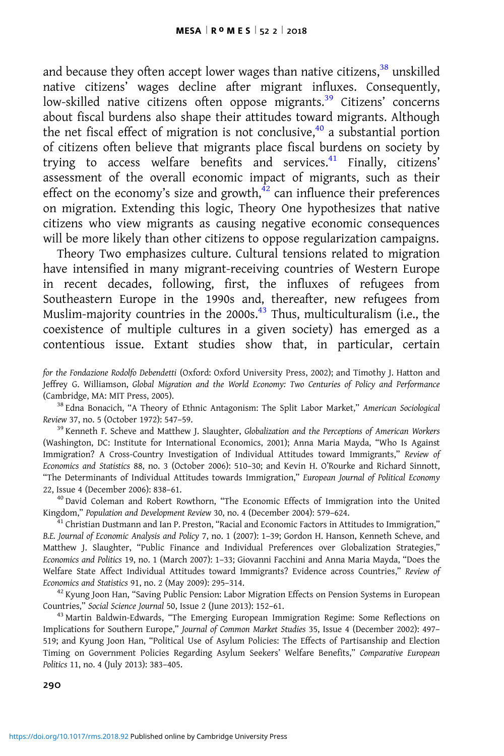and because they often accept lower wages than native citizens, $38$  unskilled native citizens' wages decline after migrant influxes. Consequently, low-skilled native citizens often oppose migrants.<sup>39</sup> Citizens' concerns about fiscal burdens also shape their attitudes toward migrants. Although the net fiscal effect of migration is not conclusive, $40$  a substantial portion of citizens often believe that migrants place fiscal burdens on society by trying to access welfare benefits and services.<sup>41</sup> Finally, citizens' assessment of the overall economic impact of migrants, such as their effect on the economy's size and growth, $42$  can influence their preferences on migration. Extending this logic, Theory One hypothesizes that native citizens who view migrants as causing negative economic consequences will be more likely than other citizens to oppose regularization campaigns.

Theory Two emphasizes culture. Cultural tensions related to migration have intensified in many migrant-receiving countries of Western Europe in recent decades, following, first, the influxes of refugees from Southeastern Europe in the 1990s and, thereafter, new refugees from Muslim-majority countries in the 2000s.<sup>43</sup> Thus, multiculturalism (i.e., the coexistence of multiple cultures in a given society) has emerged as a contentious issue. Extant studies show that, in particular, certain

for the Fondazione Rodolfo Debendetti (Oxford: Oxford University Press, 2002); and Timothy J. Hatton and Jeffrey G. Williamson, Global Migration and the World Economy: Two Centuries of Policy and Performance (Cambridge, MA: MIT Press, 2005). <sup>38</sup> Edna Bonacich, "A Theory of Ethnic Antagonism: The Split Labor Market," American Sociological

Review 37, no. 5 (October 1972): 547–59.<br><sup>39</sup> Kenneth F. Scheve and Matthew J. Slaughter, Globalization and the Perceptions of American Workers

(Washington, DC: Institute for International Economics, 2001); Anna Maria Mayda, "Who Is Against Immigration? A Cross-Country Investigation of Individual Attitudes toward Immigrants," Review of Economics and Statistics 88, no. 3 (October 2006): 510–30; and Kevin H. O'Rourke and Richard Sinnott, "The Determinants of Individual Attitudes towards Immigration," European Journal of Political Economy

<sup>40</sup> David Coleman and Robert Rowthorn, "The Economic Effects of Immigration into the United Kingdom," Population and Development Review 30, no. 4 (December 2004): 579–624.<br><sup>41</sup> Christian Dustmann and Ian P. Preston, "Racial and Economic Factors in Attitudes to Immigration,"

B.E. Journal of Economic Analysis and Policy 7, no. 1 (2007): 1–39; Gordon H. Hanson, Kenneth Scheve, and Matthew J. Slaughter, "Public Finance and Individual Preferences over Globalization Strategies," Economics and Politics 19, no. 1 (March 2007): 1–33; Giovanni Facchini and Anna Maria Mayda, "Does the Welfare State Affect Individual Attitudes toward Immigrants? Evidence across Countries," Review of Economics and Statistics 91, no. 2 (May 2009): 295–314.<br><sup>42</sup> Kyung Joon Han, "Saving Public Pension: Labor Migration Effects on Pension Systems in European

Countries," Social Science Journal 50, Issue 2 (June 2013): 152–61.<br><sup>43</sup> Martin Baldwin-Edwards, "The Emerging European Immigration Regime: Some Reflections on

Implications for Southern Europe," Journal of Common Market Studies 35, Issue 4 (December 2002): 497– 519; and Kyung Joon Han, "Political Use of Asylum Policies: The Effects of Partisanship and Election Timing on Government Policies Regarding Asylum Seekers' Welfare Benefits," Comparative European Politics 11, no. 4 (July 2013): 383–405.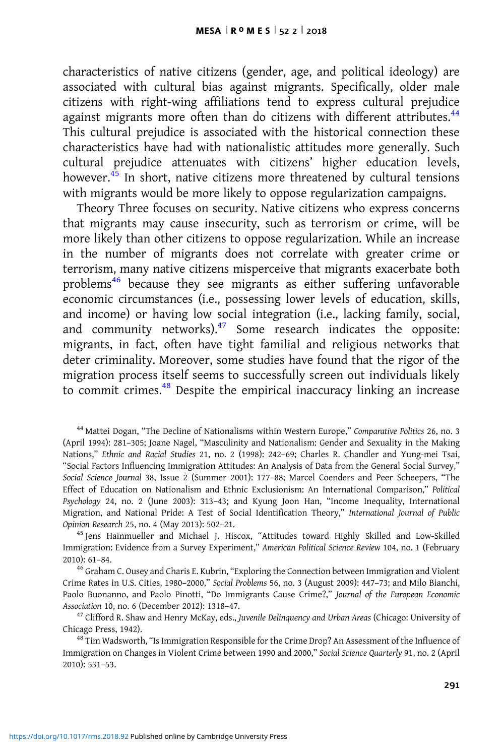characteristics of native citizens (gender, age, and political ideology) are associated with cultural bias against migrants. Specifically, older male citizens with right-wing affiliations tend to express cultural prejudice against migrants more often than do citizens with different attributes.<sup>44</sup> This cultural prejudice is associated with the historical connection these characteristics have had with nationalistic attitudes more generally. Such cultural prejudice attenuates with citizens' higher education levels, however.<sup>45</sup> In short, native citizens more threatened by cultural tensions with migrants would be more likely to oppose regularization campaigns.

Theory Three focuses on security. Native citizens who express concerns that migrants may cause insecurity, such as terrorism or crime, will be more likely than other citizens to oppose regularization. While an increase in the number of migrants does not correlate with greater crime or terrorism, many native citizens misperceive that migrants exacerbate both problems<sup>46</sup> because they see migrants as either suffering unfavorable economic circumstances (i.e., possessing lower levels of education, skills, and income) or having low social integration (i.e., lacking family, social, and community networks).<sup>47</sup> Some research indicates the opposite: migrants, in fact, often have tight familial and religious networks that deter criminality. Moreover, some studies have found that the rigor of the migration process itself seems to successfully screen out individuals likely to commit crimes.<sup>48</sup> Despite the empirical inaccuracy linking an increase

<sup>44</sup> Mattei Dogan, "The Decline of Nationalisms within Western Europe," Comparative Politics 26, no. 3 (April 1994): 281–305; Joane Nagel, "Masculinity and Nationalism: Gender and Sexuality in the Making Nations," Ethnic and Racial Studies 21, no. 2 (1998): 242–69; Charles R. Chandler and Yung-mei Tsai, "Social Factors Influencing Immigration Attitudes: An Analysis of Data from the General Social Survey," Social Science Journal 38, Issue 2 (Summer 2001): 177–88; Marcel Coenders and Peer Scheepers, "The Effect of Education on Nationalism and Ethnic Exclusionism: An International Comparison," Political Psychology 24, no. 2 (June 2003): 313–43; and Kyung Joon Han, "Income Inequality, International Migration, and National Pride: A Test of Social Identification Theory," International Journal of Public Opinion Research 25, no. 4 (May 2013): 502–21.<br><sup>45</sup> Jens Hainmueller and Michael J. Hiscox, "Attitudes toward Highly Skilled and Low-Skilled

Immigration: Evidence from a Survey Experiment," American Political Science Review 104, no. 1 (February 2010): 61–84. <sup>46</sup> Graham C. Ousey and Charis E. Kubrin, "Exploring the Connection between Immigration and Violent

Crime Rates in U.S. Cities, 1980–2000," Social Problems 56, no. 3 (August 2009): 447–73; and Milo Bianchi, Paolo Buonanno, and Paolo Pinotti, "Do Immigrants Cause Crime?," Journal of the European Economic Association 10, no. 6 (December 2012): 1318–47. <sup>47</sup> Clifford R. Shaw and Henry McKay, eds., Juvenile Delinquency and Urban Areas (Chicago: University of

Chicago Press, 1942). <sup>48</sup> Tim Wadsworth, "Is Immigration Responsible for the Crime Drop? An Assessment of the Influence of

Immigration on Changes in Violent Crime between 1990 and 2000," Social Science Quarterly 91, no. 2 (April 2010): 531–53.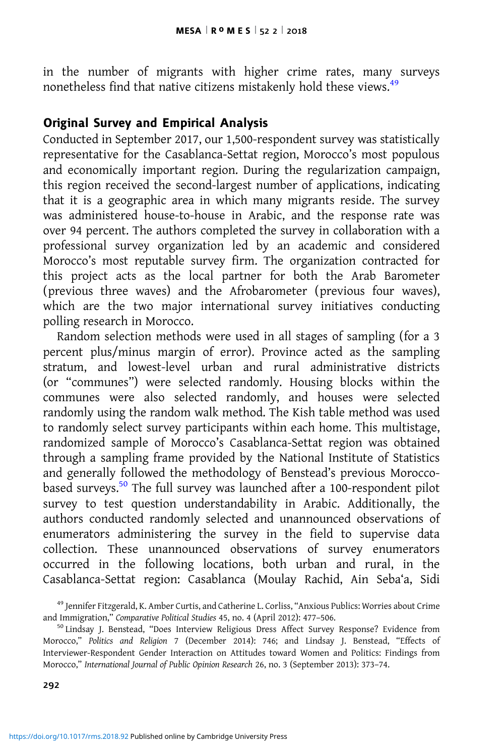in the number of migrants with higher crime rates, many surveys nonetheless find that native citizens mistakenly hold these views.<sup>49</sup>

## Original Survey and Empirical Analysis

Conducted in September 2017, our 1,500-respondent survey was statistically representative for the Casablanca-Settat region, Morocco's most populous and economically important region. During the regularization campaign, this region received the second-largest number of applications, indicating that it is a geographic area in which many migrants reside. The survey was administered house-to-house in Arabic, and the response rate was over 94 percent. The authors completed the survey in collaboration with a professional survey organization led by an academic and considered Morocco's most reputable survey firm. The organization contracted for this project acts as the local partner for both the Arab Barometer (previous three waves) and the Afrobarometer (previous four waves), which are the two major international survey initiatives conducting polling research in Morocco.

Random selection methods were used in all stages of sampling (for a 3 percent plus/minus margin of error). Province acted as the sampling stratum, and lowest-level urban and rural administrative districts (or "communes") were selected randomly. Housing blocks within the communes were also selected randomly, and houses were selected randomly using the random walk method. The Kish table method was used to randomly select survey participants within each home. This multistage, randomized sample of Morocco's Casablanca-Settat region was obtained through a sampling frame provided by the National Institute of Statistics and generally followed the methodology of Benstead's previous Moroccobased surveys.<sup>50</sup> The full survey was launched after a 100-respondent pilot survey to test question understandability in Arabic. Additionally, the authors conducted randomly selected and unannounced observations of enumerators administering the survey in the field to supervise data collection. These unannounced observations of survey enumerators occurred in the following locations, both urban and rural, in the Casablanca-Settat region: Casablanca (Moulay Rachid, Ain Seba'a, Sidi

<sup>49</sup> Jennifer Fitzgerald, K. Amber Curtis, and Catherine L. Corliss, "Anxious Publics: Worries about Crime and Immigration," Comparative Political Studies 45, no. 4 (April 2012): 477–506.<br><sup>50</sup> Lindsay J. Benstead, "Does Interview Religious Dress Affect Survey Response? Evidence from

Morocco," Politics and Religion 7 (December 2014): 746; and Lindsay J. Benstead, "Effects of Interviewer-Respondent Gender Interaction on Attitudes toward Women and Politics: Findings from Morocco," International Journal of Public Opinion Research 26, no. 3 (September 2013): 373–74.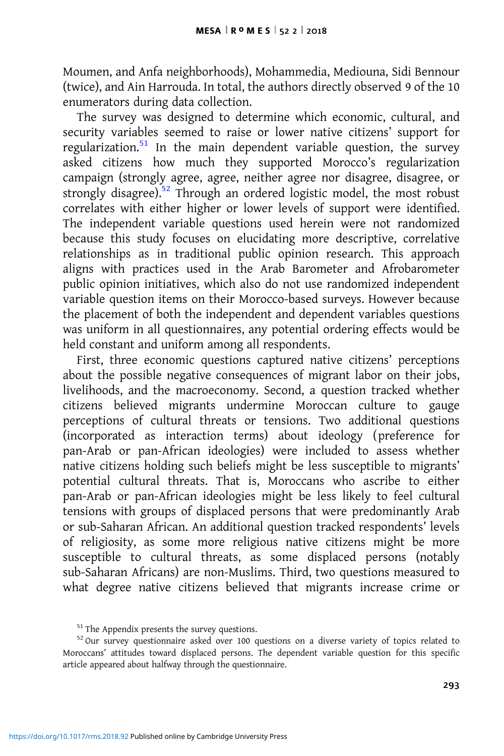Moumen, and Anfa neighborhoods), Mohammedia, Mediouna, Sidi Bennour (twice), and Ain Harrouda. In total, the authors directly observed 9 of the 10 enumerators during data collection.

The survey was designed to determine which economic, cultural, and security variables seemed to raise or lower native citizens' support for regularization.<sup>51</sup> In the main dependent variable question, the survey asked citizens how much they supported Morocco's regularization campaign (strongly agree, agree, neither agree nor disagree, disagree, or strongly disagree).<sup>52</sup> Through an ordered logistic model, the most robust correlates with either higher or lower levels of support were identified. The independent variable questions used herein were not randomized because this study focuses on elucidating more descriptive, correlative relationships as in traditional public opinion research. This approach aligns with practices used in the Arab Barometer and Afrobarometer public opinion initiatives, which also do not use randomized independent variable question items on their Morocco-based surveys. However because the placement of both the independent and dependent variables questions was uniform in all questionnaires, any potential ordering effects would be held constant and uniform among all respondents.

First, three economic questions captured native citizens' perceptions about the possible negative consequences of migrant labor on their jobs, livelihoods, and the macroeconomy. Second, a question tracked whether citizens believed migrants undermine Moroccan culture to gauge perceptions of cultural threats or tensions. Two additional questions (incorporated as interaction terms) about ideology (preference for pan-Arab or pan-African ideologies) were included to assess whether native citizens holding such beliefs might be less susceptible to migrants' potential cultural threats. That is, Moroccans who ascribe to either pan-Arab or pan-African ideologies might be less likely to feel cultural tensions with groups of displaced persons that were predominantly Arab or sub-Saharan African. An additional question tracked respondents' levels of religiosity, as some more religious native citizens might be more susceptible to cultural threats, as some displaced persons (notably sub-Saharan Africans) are non-Muslims. Third, two questions measured to what degree native citizens believed that migrants increase crime or

<sup>&</sup>lt;sup>51</sup> The Appendix presents the survey questions.<br><sup>52</sup> Our survey questionnaire asked over 100 questions on a diverse variety of topics related to Moroccans' attitudes toward displaced persons. The dependent variable question for this specific article appeared about halfway through the questionnaire.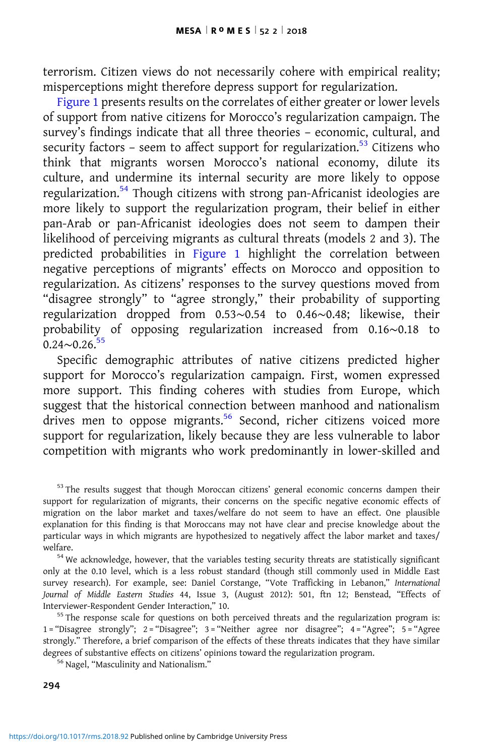terrorism. Citizen views do not necessarily cohere with empirical reality; misperceptions might therefore depress support for regularization.

[Figure 1](#page-12-0) presents results on the correlates of either greater or lower levels of support from native citizens for Morocco's regularization campaign. The survey's findings indicate that all three theories – economic, cultural, and security factors – seem to affect support for regularization.<sup>53</sup> Citizens who think that migrants worsen Morocco's national economy, dilute its culture, and undermine its internal security are more likely to oppose regularization.<sup>54</sup> Though citizens with strong pan-Africanist ideologies are more likely to support the regularization program, their belief in either pan-Arab or pan-Africanist ideologies does not seem to dampen their likelihood of perceiving migrants as cultural threats (models 2 and 3). The predicted probabilities in [Figure 1](#page-12-0) highlight the correlation between negative perceptions of migrants' effects on Morocco and opposition to regularization. As citizens' responses to the survey questions moved from "disagree strongly" to "agree strongly," their probability of supporting regularization dropped from 0.53∼0.54 to 0.46∼0.48; likewise, their probability of opposing regularization increased from 0.16∼0.18 to  $0.24 \sim 0.26 \cdot \frac{55}{5}$ 

Specific demographic attributes of native citizens predicted higher support for Morocco's regularization campaign. First, women expressed more support. This finding coheres with studies from Europe, which suggest that the historical connection between manhood and nationalism drives men to oppose migrants.<sup>56</sup> Second, richer citizens voiced more support for regularization, likely because they are less vulnerable to labor competition with migrants who work predominantly in lower-skilled and

<sup>53</sup> The results suggest that though Moroccan citizens' general economic concerns dampen their support for regularization of migrants, their concerns on the specific negative economic effects of migration on the labor market and taxes/welfare do not seem to have an effect. One plausible explanation for this finding is that Moroccans may not have clear and precise knowledge about the particular ways in which migrants are hypothesized to negatively affect the labor market and taxes/ welfare.<br><sup>54</sup> We acknowledge, however, that the variables testing security threats are statistically significant

only at the 0.10 level, which is a less robust standard (though still commonly used in Middle East survey research). For example, see: Daniel Corstange, "Vote Trafficking in Lebanon," International Journal of Middle Eastern Studies 44, Issue 3, (August 2012): 501, ftn 12; Benstead, "Effects of Interviewer-Respondent Gender Interaction," 10. <sup>55</sup> The response scale for questions on both perceived threats and the regularization program is:

1 = "Disagree strongly"; 2= "Disagree"; 3= "Neither agree nor disagree"; 4= "Agree"; 5= "Agree strongly." Therefore, a brief comparison of the effects of these threats indicates that they have similar degrees of substantive effects on citizens' opinions toward the regularization program.<br><sup>56</sup> Nagel, "Masculinity and Nationalism."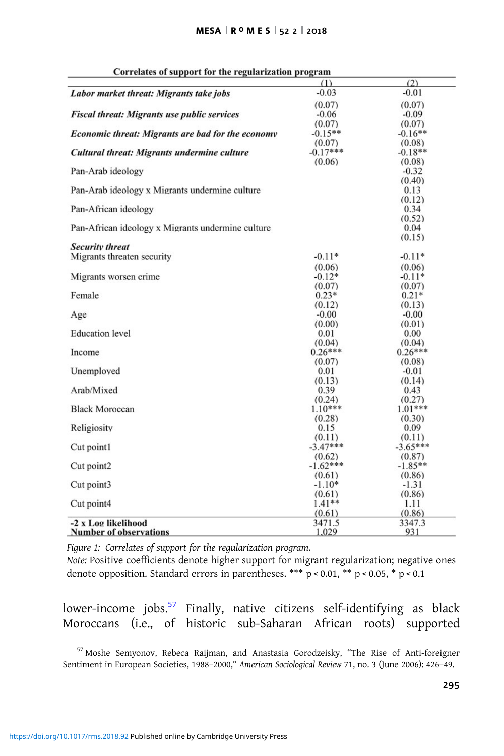<span id="page-12-0"></span>

|                                                          | (1)        | (2)        |
|----------------------------------------------------------|------------|------------|
| Labor market threat: Migrants take jobs                  | $-0.03$    | $-0.01$    |
|                                                          | (0.07)     | (0.07)     |
| <b>Fiscal threat: Migrants use public services</b>       | $-0.06$    | $-0.09$    |
|                                                          | (0.07)     | (0.07)     |
| <b>Economic threat: Migrants are bad for the economy</b> | $-0.15**$  | $-0.16**$  |
|                                                          | (0.07)     | (0.08)     |
| <b>Cultural threat: Migrants undermine culture</b>       | $-0.17***$ | $-0.18**$  |
|                                                          | (0.06)     | (0.08)     |
| Pan-Arab ideology                                        |            | $-0.32$    |
|                                                          |            | (0.40)     |
| Pan-Arab ideology x Migrants undermine culture           |            | 0.13       |
|                                                          |            | (0.12)     |
| Pan-African ideology                                     |            | 0.34       |
|                                                          |            | (0.52)     |
| Pan-African ideology x Migrants undermine culture        |            | 0.04       |
|                                                          |            | (0.15)     |
| <b>Security threat</b>                                   |            |            |
| Migrants threaten security                               | $-0.11*$   | $-0.11*$   |
|                                                          | (0.06)     | (0.06)     |
| Migrants worsen crime                                    | $-0.12*$   | $-0.11*$   |
|                                                          |            |            |
|                                                          | (0.07)     | (0.07)     |
| Female                                                   | $0.23*$    | $0.21*$    |
|                                                          | (0.12)     | (0.13)     |
| Age                                                      | $-0.00$    | $-0.00$    |
|                                                          | (0.00)     | (0.01)     |
| <b>Education</b> level                                   | 0.01       | 0.00       |
|                                                          | (0.04)     | (0.04)     |
| Income                                                   | $0.26***$  | $0.26***$  |
|                                                          | (0.07)     | (0.08)     |
| Unemployed                                               | 0.01       | $-0.01$    |
|                                                          | (0.13)     | (0.14)     |
| Arab/Mixed                                               | 0.39       | 0.43       |
|                                                          | (0.24)     | (0.27)     |
| <b>Black Moroccan</b>                                    | $1.10***$  | $1.01***$  |
|                                                          | (0.28)     | (0.30)     |
| Religiosity                                              | 0.15       | 0.09       |
|                                                          | (0.11)     | (0.11)     |
| Cut point1                                               | $-3.47***$ | $-3.65***$ |
|                                                          | (0.62)     | (0.87)     |
| Cut point2                                               | $-1.62***$ | $-1.85**$  |
|                                                          | (0.61)     | (0.86)     |
| Cut point3                                               | $-1.10*$   | $-1.31$    |
|                                                          | (0.61)     | (0.86)     |
| Cut point4                                               | $1.41**$   | 1.11       |
|                                                          | (0.61)     | (0.86)     |
| -2 x Log likelihood                                      | 3471.5     | 3347.3     |
| <b>Number of observations</b>                            | 1.029      | 931        |

| Correlates of support for the regularization program |  |
|------------------------------------------------------|--|
|------------------------------------------------------|--|

Figure 1: Correlates of support for the regularization program.

Note: Positive coefficients denote higher support for migrant regularization; negative ones denote opposition. Standard errors in parentheses. \*\*\*  $p < 0.01$ , \*\*  $p < 0.05$ , \*  $p < 0.1$ 

lower-income jobs.<sup>57</sup> Finally, native citizens self-identifying as black Moroccans (i.e., of historic sub-Saharan African roots) supported

<sup>57</sup> Moshe Semyonov, Rebeca Raijman, and Anastasia Gorodzeisky, "The Rise of Anti-foreigner Sentiment in European Societies, 1988–2000," American Sociological Review 71, no. 3 (June 2006): 426–49.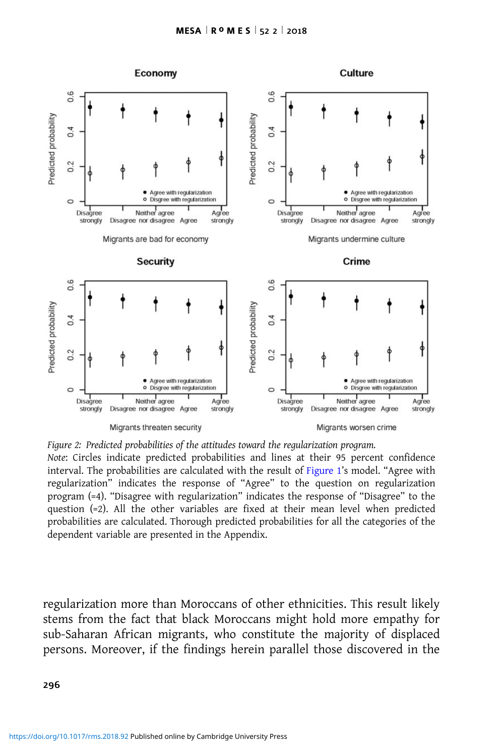

Figure 2: Predicted probabilities of the attitudes toward the regularization program.

Note: Circles indicate predicted probabilities and lines at their 95 percent confidence interval. The probabilities are calculated with the result of [Figure 1](#page-12-0)'s model. "Agree with regularization" indicates the response of "Agree" to the question on regularization program (=4). "Disagree with regularization" indicates the response of "Disagree" to the question (=2). All the other variables are fixed at their mean level when predicted probabilities are calculated. Thorough predicted probabilities for all the categories of the dependent variable are presented in the Appendix.

regularization more than Moroccans of other ethnicities. This result likely stems from the fact that black Moroccans might hold more empathy for sub-Saharan African migrants, who constitute the majority of displaced persons. Moreover, if the findings herein parallel those discovered in the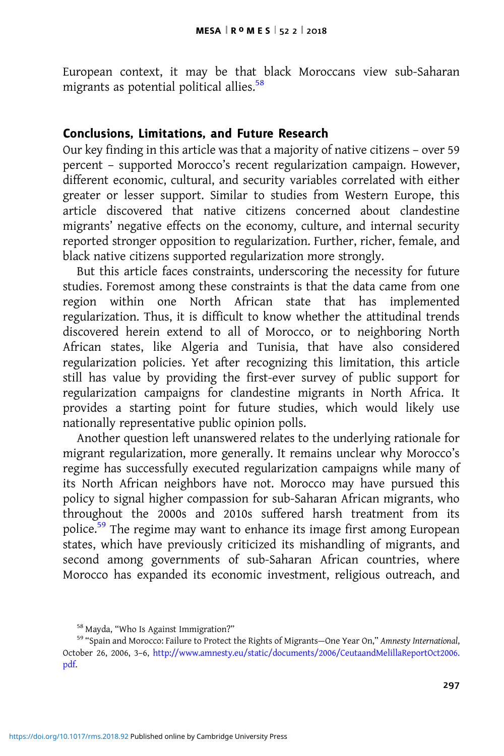European context, it may be that black Moroccans view sub-Saharan migrants as potential political allies.<sup>58</sup>

### Conclusions, Limitations, and Future Research

Our key finding in this article was that a majority of native citizens – over 59 percent – supported Morocco's recent regularization campaign. However, different economic, cultural, and security variables correlated with either greater or lesser support. Similar to studies from Western Europe, this article discovered that native citizens concerned about clandestine migrants' negative effects on the economy, culture, and internal security reported stronger opposition to regularization. Further, richer, female, and black native citizens supported regularization more strongly.

But this article faces constraints, underscoring the necessity for future studies. Foremost among these constraints is that the data came from one region within one North African state that has implemented regularization. Thus, it is difficult to know whether the attitudinal trends discovered herein extend to all of Morocco, or to neighboring North African states, like Algeria and Tunisia, that have also considered regularization policies. Yet after recognizing this limitation, this article still has value by providing the first-ever survey of public support for regularization campaigns for clandestine migrants in North Africa. It provides a starting point for future studies, which would likely use nationally representative public opinion polls.

Another question left unanswered relates to the underlying rationale for migrant regularization, more generally. It remains unclear why Morocco's regime has successfully executed regularization campaigns while many of its North African neighbors have not. Morocco may have pursued this policy to signal higher compassion for sub-Saharan African migrants, who throughout the 2000s and 2010s suffered harsh treatment from its police.<sup>59</sup> The regime may want to enhance its image first among European states, which have previously criticized its mishandling of migrants, and second among governments of sub-Saharan African countries, where Morocco has expanded its economic investment, religious outreach, and

 $58$  Mayda, "Who Is Against Immigration?"<br> $59$  "Spain and Morocco: Failure to Protect the Rights of Migrants—One Year On," Amnesty International, October 26, 2006, 3–6, [http://www.amnesty.eu/static/documents/2006/CeutaandMelillaReportOct2006.](http://www.amnesty.eu/static/documents/2006/CeutaandMelillaReportOct2006.pdf) [pdf.](http://www.amnesty.eu/static/documents/2006/CeutaandMelillaReportOct2006.pdf)